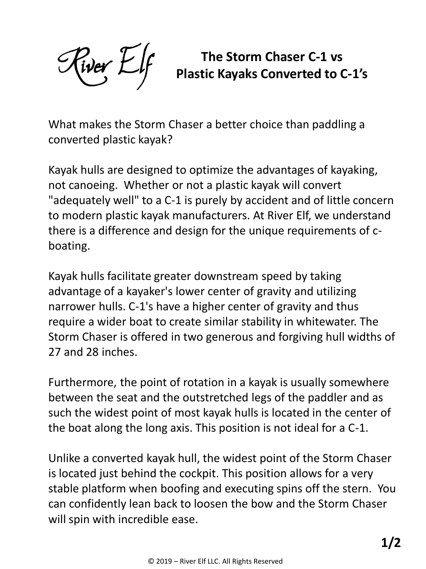$\frac{1}{2}$ iver  $\frac{1}{2}$ if

**The Storm Chaser C-1 vs Plastic Kayaks Converted to C-1's**

What makes the Storm Chaser a better choice than paddling a converted plastic kayak?

Kayak hulls are designed to optimize the advantages of kayaking, not canoeing. Whether or not a plastic kayak will convert "adequately well" to a C-1 is purely by accident and of little concern to modern plastic kayak manufacturers. At River Elf, we understand there is a difference and design for the unique requirements of cboating.

Kayak hulls facilitate greater downstream speed by taking advantage of a kayaker's lower center of gravity and utilizing narrower hulls. C-1's have a higher center of gravity and thus require a wider boat to create similar stability in whitewater. The Storm Chaser is offered in two generous and forgiving hull widths of 27 and 28 inches.

Furthermore, the point of rotation in a kayak is usually somewhere between the seat and the outstretched legs of the paddler and as such the widest point of most kayak hulls is located in the center of the boat along the long axis. This position is not ideal for a C-1.

Unlike a converted kayak hull, the widest point of the Storm Chaser is located just behind the cockpit. This position allows for a very stable platform when boofing and executing spins off the stern. You can confidently lean back to loosen the bow and the Storm Chaser will spin with incredible ease.